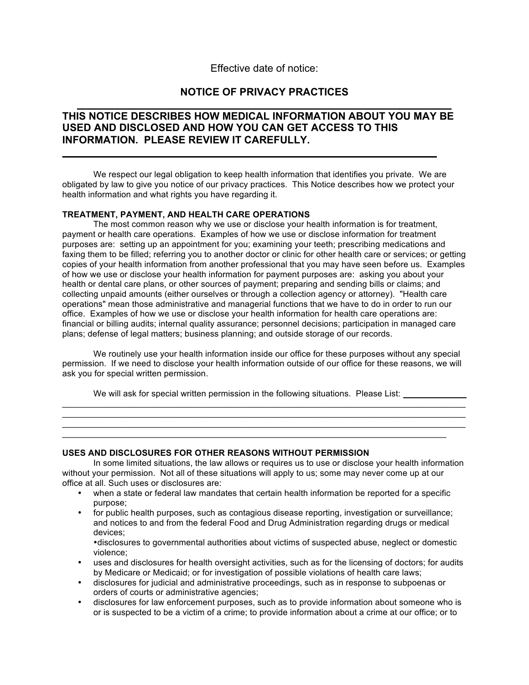# Effective date of notice:

# **NOTICE OF PRIVACY PRACTICES \_\_\_\_\_\_\_\_\_\_\_\_\_\_\_\_\_\_\_\_\_\_\_\_\_\_\_\_\_\_\_\_\_\_\_\_\_\_\_\_\_\_\_\_\_\_\_\_\_\_\_\_\_\_\_\_\_\_\_\_\_\_\_\_\_**

# **THIS NOTICE DESCRIBES HOW MEDICAL INFORMATION ABOUT YOU MAY BE USED AND DISCLOSED AND HOW YOU CAN GET ACCESS TO THIS INFORMATION. PLEASE REVIEW IT CAREFULLY.**

**\_\_\_\_\_\_\_\_\_\_\_\_\_\_\_\_\_\_\_\_\_\_\_\_\_\_\_\_\_\_\_\_\_\_\_\_\_\_\_\_\_\_\_\_\_\_\_\_\_\_\_\_\_\_\_\_\_\_\_\_\_\_\_\_\_**

We respect our legal obligation to keep health information that identifies you private. We are obligated by law to give you notice of our privacy practices. This Notice describes how we protect your health information and what rights you have regarding it.

## **TREATMENT, PAYMENT, AND HEALTH CARE OPERATIONS**

The most common reason why we use or disclose your health information is for treatment, payment or health care operations. Examples of how we use or disclose information for treatment purposes are: setting up an appointment for you; examining your teeth; prescribing medications and faxing them to be filled; referring you to another doctor or clinic for other health care or services; or getting copies of your health information from another professional that you may have seen before us. Examples of how we use or disclose your health information for payment purposes are: asking you about your health or dental care plans, or other sources of payment; preparing and sending bills or claims; and collecting unpaid amounts (either ourselves or through a collection agency or attorney). "Health care operations" mean those administrative and managerial functions that we have to do in order to run our office. Examples of how we use or disclose your health information for health care operations are: financial or billing audits; internal quality assurance; personnel decisions; participation in managed care plans; defense of legal matters; business planning; and outside storage of our records.

We routinely use your health information inside our office for these purposes without any special permission. If we need to disclose your health information outside of our office for these reasons, we will ask you for special written permission.

 $\mathcal{L}_\mathcal{L} = \{ \mathcal{L}_\mathcal{L} = \{ \mathcal{L}_\mathcal{L} = \{ \mathcal{L}_\mathcal{L} = \{ \mathcal{L}_\mathcal{L} = \{ \mathcal{L}_\mathcal{L} = \{ \mathcal{L}_\mathcal{L} = \{ \mathcal{L}_\mathcal{L} = \{ \mathcal{L}_\mathcal{L} = \{ \mathcal{L}_\mathcal{L} = \{ \mathcal{L}_\mathcal{L} = \{ \mathcal{L}_\mathcal{L} = \{ \mathcal{L}_\mathcal{L} = \{ \mathcal{L}_\mathcal{L} = \{ \mathcal{L}_\mathcal{$  $\_$  , and the state of the state of the state of the state of the state of the state of the state of the state of the state of the state of the state of the state of the state of the state of the state of the state of the  $\_$  , and the state of the state of the state of the state of the state of the state of the state of the state of the state of the state of the state of the state of the state of the state of the state of the state of the  $\mathcal{L}_\mathcal{L} = \{ \mathcal{L}_\mathcal{L} = \{ \mathcal{L}_\mathcal{L} = \{ \mathcal{L}_\mathcal{L} = \{ \mathcal{L}_\mathcal{L} = \{ \mathcal{L}_\mathcal{L} = \{ \mathcal{L}_\mathcal{L} = \{ \mathcal{L}_\mathcal{L} = \{ \mathcal{L}_\mathcal{L} = \{ \mathcal{L}_\mathcal{L} = \{ \mathcal{L}_\mathcal{L} = \{ \mathcal{L}_\mathcal{L} = \{ \mathcal{L}_\mathcal{L} = \{ \mathcal{L}_\mathcal{L} = \{ \mathcal{L}_\mathcal{$ 

We will ask for special written permission in the following situations. Please List:

## **USES AND DISCLOSURES FOR OTHER REASONS WITHOUT PERMISSION**

In some limited situations, the law allows or requires us to use or disclose your health information without your permission. Not all of these situations will apply to us; some may never come up at our office at all. Such uses or disclosures are:

- when a state or federal law mandates that certain health information be reported for a specific purpose;
- for public health purposes, such as contagious disease reporting, investigation or surveillance; and notices to and from the federal Food and Drug Administration regarding drugs or medical devices;
	- •disclosures to governmental authorities about victims of suspected abuse, neglect or domestic violence;
- uses and disclosures for health oversight activities, such as for the licensing of doctors; for audits by Medicare or Medicaid; or for investigation of possible violations of health care laws;
- disclosures for judicial and administrative proceedings, such as in response to subpoenas or orders of courts or administrative agencies;
- disclosures for law enforcement purposes, such as to provide information about someone who is or is suspected to be a victim of a crime; to provide information about a crime at our office; or to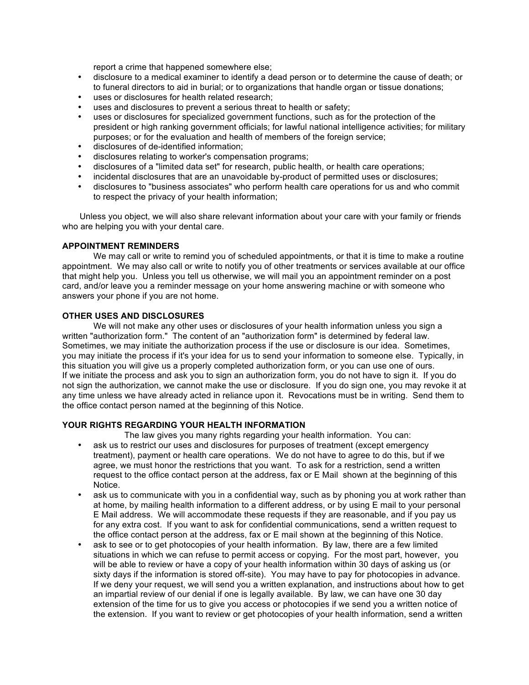report a crime that happened somewhere else;

- disclosure to a medical examiner to identify a dead person or to determine the cause of death; or to funeral directors to aid in burial; or to organizations that handle organ or tissue donations;
- uses or disclosures for health related research:
- uses and disclosures to prevent a serious threat to health or safety;
- uses or disclosures for specialized government functions, such as for the protection of the president or high ranking government officials; for lawful national intelligence activities; for military purposes; or for the evaluation and health of members of the foreign service;
- disclosures of de-identified information;
- disclosures relating to worker's compensation programs;
- disclosures of a "limited data set" for research, public health, or health care operations;
- incidental disclosures that are an unavoidable by-product of permitted uses or disclosures;
- disclosures to "business associates" who perform health care operations for us and who commit to respect the privacy of your health information;

Unless you object, we will also share relevant information about your care with your family or friends who are helping you with your dental care.

#### **APPOINTMENT REMINDERS**

We may call or write to remind you of scheduled appointments, or that it is time to make a routine appointment. We may also call or write to notify you of other treatments or services available at our office that might help you. Unless you tell us otherwise, we will mail you an appointment reminder on a post card, and/or leave you a reminder message on your home answering machine or with someone who answers your phone if you are not home.

## **OTHER USES AND DISCLOSURES**

We will not make any other uses or disclosures of your health information unless you sign a written "authorization form." The content of an "authorization form" is determined by federal law. Sometimes, we may initiate the authorization process if the use or disclosure is our idea. Sometimes, you may initiate the process if it's your idea for us to send your information to someone else. Typically, in this situation you will give us a properly completed authorization form, or you can use one of ours. If we initiate the process and ask you to sign an authorization form, you do not have to sign it. If you do not sign the authorization, we cannot make the use or disclosure. If you do sign one, you may revoke it at any time unless we have already acted in reliance upon it. Revocations must be in writing. Send them to the office contact person named at the beginning of this Notice.

# **YOUR RIGHTS REGARDING YOUR HEALTH INFORMATION**

The law gives you many rights regarding your health information. You can:

- ask us to restrict our uses and disclosures for purposes of treatment (except emergency treatment), payment or health care operations. We do not have to agree to do this, but if we agree, we must honor the restrictions that you want. To ask for a restriction, send a written request to the office contact person at the address, fax or E Mail shown at the beginning of this Notice.
- ask us to communicate with you in a confidential way, such as by phoning you at work rather than at home, by mailing health information to a different address, or by using E mail to your personal E Mail address. We will accommodate these requests if they are reasonable, and if you pay us for any extra cost. If you want to ask for confidential communications, send a written request to the office contact person at the address, fax or E mail shown at the beginning of this Notice.
- ask to see or to get photocopies of your health information. By law, there are a few limited situations in which we can refuse to permit access or copying. For the most part, however, you will be able to review or have a copy of your health information within 30 days of asking us (or sixty days if the information is stored off-site). You may have to pay for photocopies in advance. If we deny your request, we will send you a written explanation, and instructions about how to get an impartial review of our denial if one is legally available. By law, we can have one 30 day extension of the time for us to give you access or photocopies if we send you a written notice of the extension. If you want to review or get photocopies of your health information, send a written